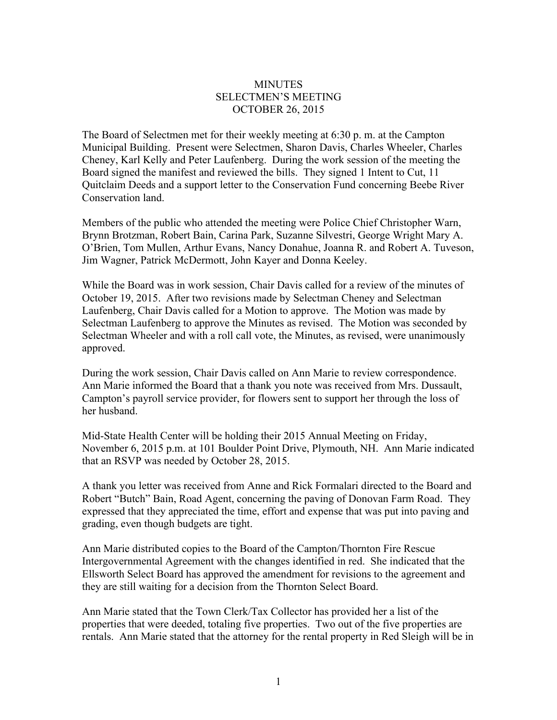## **MINUTES** SELECTMEN'S MEETING OCTOBER 26, 2015

The Board of Selectmen met for their weekly meeting at 6:30 p. m. at the Campton Municipal Building. Present were Selectmen, Sharon Davis, Charles Wheeler, Charles Cheney, Karl Kelly and Peter Laufenberg. During the work session of the meeting the Board signed the manifest and reviewed the bills. They signed 1 Intent to Cut, 11 Quitclaim Deeds and a support letter to the Conservation Fund concerning Beebe River Conservation land.

Members of the public who attended the meeting were Police Chief Christopher Warn, Brynn Brotzman, Robert Bain, Carina Park, Suzanne Silvestri, George Wright Mary A. O'Brien, Tom Mullen, Arthur Evans, Nancy Donahue, Joanna R. and Robert A. Tuveson, Jim Wagner, Patrick McDermott, John Kayer and Donna Keeley.

While the Board was in work session, Chair Davis called for a review of the minutes of October 19, 2015. After two revisions made by Selectman Cheney and Selectman Laufenberg, Chair Davis called for a Motion to approve. The Motion was made by Selectman Laufenberg to approve the Minutes as revised. The Motion was seconded by Selectman Wheeler and with a roll call vote, the Minutes, as revised, were unanimously approved.

During the work session, Chair Davis called on Ann Marie to review correspondence. Ann Marie informed the Board that a thank you note was received from Mrs. Dussault, Campton's payroll service provider, for flowers sent to support her through the loss of her husband.

Mid-State Health Center will be holding their 2015 Annual Meeting on Friday, November 6, 2015 p.m. at 101 Boulder Point Drive, Plymouth, NH. Ann Marie indicated that an RSVP was needed by October 28, 2015.

A thank you letter was received from Anne and Rick Formalari directed to the Board and Robert "Butch" Bain, Road Agent, concerning the paving of Donovan Farm Road. They expressed that they appreciated the time, effort and expense that was put into paving and grading, even though budgets are tight.

Ann Marie distributed copies to the Board of the Campton/Thornton Fire Rescue Intergovernmental Agreement with the changes identified in red. She indicated that the Ellsworth Select Board has approved the amendment for revisions to the agreement and they are still waiting for a decision from the Thornton Select Board.

Ann Marie stated that the Town Clerk/Tax Collector has provided her a list of the properties that were deeded, totaling five properties. Two out of the five properties are rentals. Ann Marie stated that the attorney for the rental property in Red Sleigh will be in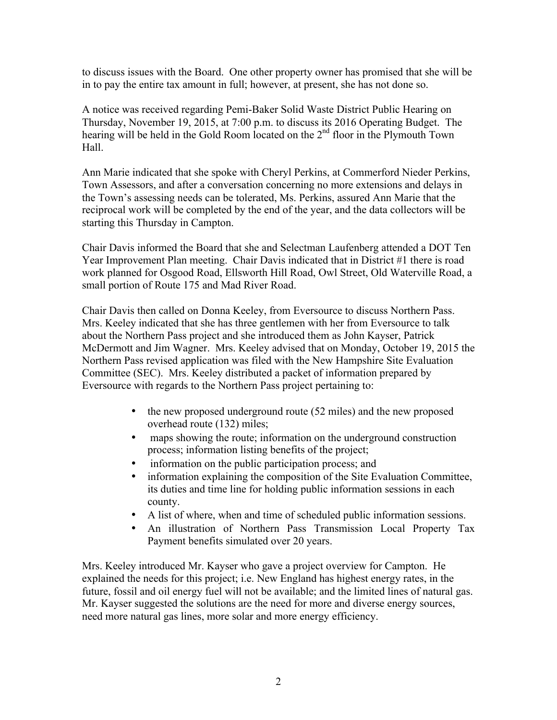to discuss issues with the Board. One other property owner has promised that she will be in to pay the entire tax amount in full; however, at present, she has not done so.

A notice was received regarding Pemi-Baker Solid Waste District Public Hearing on Thursday, November 19, 2015, at 7:00 p.m. to discuss its 2016 Operating Budget. The hearing will be held in the Gold Room located on the 2<sup>nd</sup> floor in the Plymouth Town Hall.

Ann Marie indicated that she spoke with Cheryl Perkins, at Commerford Nieder Perkins, Town Assessors, and after a conversation concerning no more extensions and delays in the Town's assessing needs can be tolerated, Ms. Perkins, assured Ann Marie that the reciprocal work will be completed by the end of the year, and the data collectors will be starting this Thursday in Campton.

Chair Davis informed the Board that she and Selectman Laufenberg attended a DOT Ten Year Improvement Plan meeting. Chair Davis indicated that in District #1 there is road work planned for Osgood Road, Ellsworth Hill Road, Owl Street, Old Waterville Road, a small portion of Route 175 and Mad River Road.

Chair Davis then called on Donna Keeley, from Eversource to discuss Northern Pass. Mrs. Keeley indicated that she has three gentlemen with her from Eversource to talk about the Northern Pass project and she introduced them as John Kayser, Patrick McDermott and Jim Wagner. Mrs. Keeley advised that on Monday, October 19, 2015 the Northern Pass revised application was filed with the New Hampshire Site Evaluation Committee (SEC). Mrs. Keeley distributed a packet of information prepared by Eversource with regards to the Northern Pass project pertaining to:

- the new proposed underground route (52 miles) and the new proposed overhead route (132) miles;
- maps showing the route; information on the underground construction process; information listing benefits of the project;
- information on the public participation process; and
- information explaining the composition of the Site Evaluation Committee, its duties and time line for holding public information sessions in each county.
- A list of where, when and time of scheduled public information sessions.
- An illustration of Northern Pass Transmission Local Property Tax Payment benefits simulated over 20 years.

Mrs. Keeley introduced Mr. Kayser who gave a project overview for Campton. He explained the needs for this project; i.e. New England has highest energy rates, in the future, fossil and oil energy fuel will not be available; and the limited lines of natural gas. Mr. Kayser suggested the solutions are the need for more and diverse energy sources, need more natural gas lines, more solar and more energy efficiency.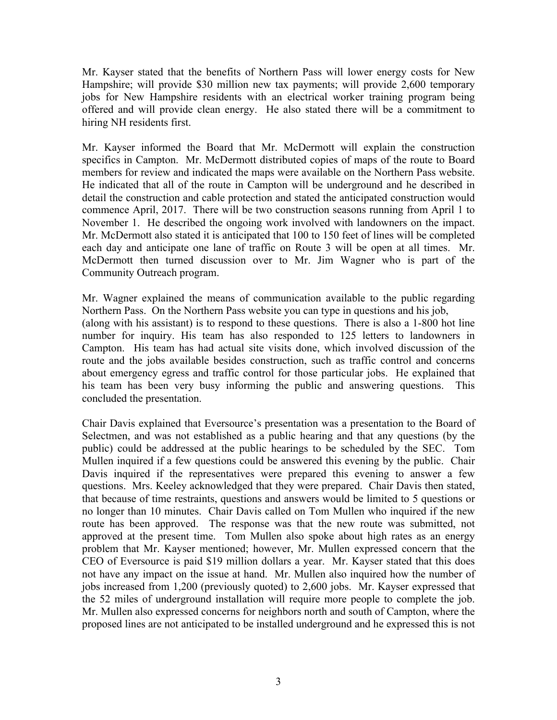Mr. Kayser stated that the benefits of Northern Pass will lower energy costs for New Hampshire; will provide \$30 million new tax payments; will provide 2,600 temporary jobs for New Hampshire residents with an electrical worker training program being offered and will provide clean energy. He also stated there will be a commitment to hiring NH residents first.

Mr. Kayser informed the Board that Mr. McDermott will explain the construction specifics in Campton. Mr. McDermott distributed copies of maps of the route to Board members for review and indicated the maps were available on the Northern Pass website. He indicated that all of the route in Campton will be underground and he described in detail the construction and cable protection and stated the anticipated construction would commence April, 2017. There will be two construction seasons running from April 1 to November 1. He described the ongoing work involved with landowners on the impact. Mr. McDermott also stated it is anticipated that 100 to 150 feet of lines will be completed each day and anticipate one lane of traffic on Route 3 will be open at all times. Mr. McDermott then turned discussion over to Mr. Jim Wagner who is part of the Community Outreach program.

Mr. Wagner explained the means of communication available to the public regarding Northern Pass. On the Northern Pass website you can type in questions and his job, (along with his assistant) is to respond to these questions. There is also a 1-800 hot line number for inquiry. His team has also responded to 125 letters to landowners in Campton. His team has had actual site visits done, which involved discussion of the route and the jobs available besides construction, such as traffic control and concerns about emergency egress and traffic control for those particular jobs. He explained that his team has been very busy informing the public and answering questions. This concluded the presentation.

Chair Davis explained that Eversource's presentation was a presentation to the Board of Selectmen, and was not established as a public hearing and that any questions (by the public) could be addressed at the public hearings to be scheduled by the SEC. Tom Mullen inquired if a few questions could be answered this evening by the public. Chair Davis inquired if the representatives were prepared this evening to answer a few questions. Mrs. Keeley acknowledged that they were prepared. Chair Davis then stated, that because of time restraints, questions and answers would be limited to 5 questions or no longer than 10 minutes. Chair Davis called on Tom Mullen who inquired if the new route has been approved. The response was that the new route was submitted, not approved at the present time. Tom Mullen also spoke about high rates as an energy problem that Mr. Kayser mentioned; however, Mr. Mullen expressed concern that the CEO of Eversource is paid \$19 million dollars a year. Mr. Kayser stated that this does not have any impact on the issue at hand. Mr. Mullen also inquired how the number of jobs increased from 1,200 (previously quoted) to 2,600 jobs. Mr. Kayser expressed that the 52 miles of underground installation will require more people to complete the job. Mr. Mullen also expressed concerns for neighbors north and south of Campton, where the proposed lines are not anticipated to be installed underground and he expressed this is not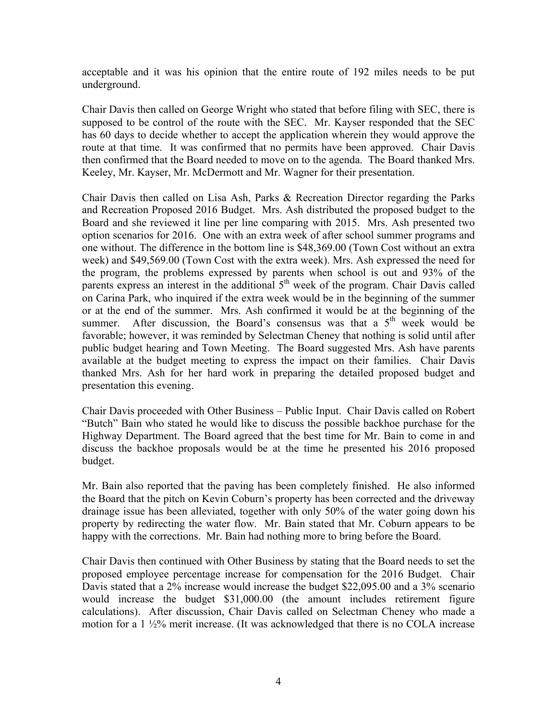acceptable and it was his opinion that the entire route of 192 miles needs to be put underground.

Chair Davis then called on George Wright who stated that before filing with SEC, there is supposed to be control of the route with the SEC. Mr. Kayser responded that the SEC has 60 days to decide whether to accept the application wherein they would approve the route at that time. It was confirmed that no permits have been approved. Chair Davis then confirmed that the Board needed to move on to the agenda. The Board thanked Mrs. Keeley, Mr. Kayser, Mr. McDermott and Mr. Wagner for their presentation.

Chair Davis then called on Lisa Ash, Parks & Recreation Director regarding the Parks and Recreation Proposed 2016 Budget. Mrs. Ash distributed the proposed budget to the Board and she reviewed it line per line comparing with 2015. Mrs. Ash presented two option scenarios for 2016. One with an extra week of after school summer programs and one without. The difference in the bottom line is \$48,369.00 (Town Cost without an extra week) and \$49,569.00 (Town Cost with the extra week). Mrs. Ash expressed the need for the program, the problems expressed by parents when school is out and 93% of the parents express an interest in the additional 5<sup>th</sup> week of the program. Chair Davis called on Carina Park, who inquired if the extra week would be in the beginning of the summer or at the end of the summer. Mrs. Ash confirmed it would be at the beginning of the summer. After discussion, the Board's consensus was that a  $5<sup>th</sup>$  week would be favorable; however, it was reminded by Selectman Cheney that nothing is solid until after public budget hearing and Town Meeting. The Board suggested Mrs. Ash have parents available at the budget meeting to express the impact on their families. Chair Davis thanked Mrs. Ash for her hard work in preparing the detailed proposed budget and presentation this evening.

Chair Davis proceeded with Other Business – Public Input. Chair Davis called on Robert "Butch" Bain who stated he would like to discuss the possible backhoe purchase for the Highway Department. The Board agreed that the best time for Mr. Bain to come in and discuss the backhoe proposals would be at the time he presented his 2016 proposed budget.

Mr. Bain also reported that the paving has been completely finished. He also informed the Board that the pitch on Kevin Coburn's property has been corrected and the driveway drainage issue has been alleviated, together with only 50% of the water going down his property by redirecting the water flow. Mr. Bain stated that Mr. Coburn appears to be happy with the corrections. Mr. Bain had nothing more to bring before the Board.

Chair Davis then continued with Other Business by stating that the Board needs to set the proposed employee percentage increase for compensation for the 2016 Budget. Chair Davis stated that a 2% increase would increase the budget \$22,095.00 and a 3% scenario would increase the budget \$31,000.00 (the amount includes retirement figure calculations). After discussion, Chair Davis called on Selectman Cheney who made a motion for a 1 ½% merit increase. (It was acknowledged that there is no COLA increase